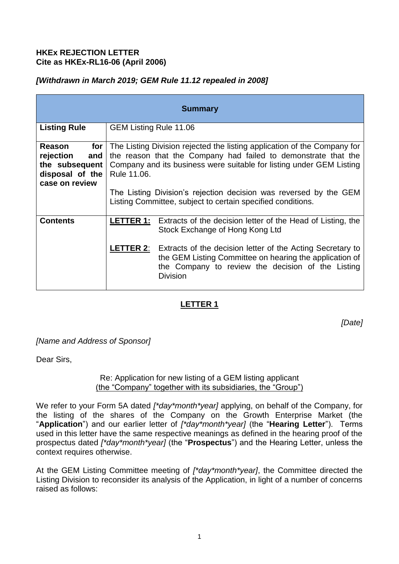### **HKEx REJECTION LETTER Cite as HKEx-RL16-06 (April 2006)**

## *[Withdrawn in March 2019; GEM Rule 11.12 repealed in 2008]*

| <b>Summary</b>                                                                                               |                                                                                                                                                                                                                                                                                                                                                        |                                                                                                                                                                                                                                                                                                                                   |
|--------------------------------------------------------------------------------------------------------------|--------------------------------------------------------------------------------------------------------------------------------------------------------------------------------------------------------------------------------------------------------------------------------------------------------------------------------------------------------|-----------------------------------------------------------------------------------------------------------------------------------------------------------------------------------------------------------------------------------------------------------------------------------------------------------------------------------|
| <b>Listing Rule</b>                                                                                          | <b>GEM Listing Rule 11.06</b>                                                                                                                                                                                                                                                                                                                          |                                                                                                                                                                                                                                                                                                                                   |
| Reason<br>for<br>rejection<br>and<br>the subsequent<br>disposal of the $\vert$ Rule 11.06.<br>case on review | The Listing Division rejected the listing application of the Company for<br>the reason that the Company had failed to demonstrate that the<br>Company and its business were suitable for listing under GEM Listing<br>The Listing Division's rejection decision was reversed by the GEM<br>Listing Committee, subject to certain specified conditions. |                                                                                                                                                                                                                                                                                                                                   |
| <b>Contents</b>                                                                                              |                                                                                                                                                                                                                                                                                                                                                        | <b>LETTER 1:</b> Extracts of the decision letter of the Head of Listing, the<br>Stock Exchange of Hong Kong Ltd<br><b>LETTER 2:</b> Extracts of the decision letter of the Acting Secretary to<br>the GEM Listing Committee on hearing the application of<br>the Company to review the decision of the Listing<br><b>Division</b> |

# **LETTER 1**

*[Date]*

*[Name and Address of Sponsor]* 

Dear Sirs,

#### Re: Application for new listing of a GEM listing applicant (the "Company" together with its subsidiaries, the "Group")

We refer to your Form 5A dated *[\*day\*month\*year]* applying, on behalf of the Company, for the listing of the shares of the Company on the Growth Enterprise Market (the "**Application**") and our earlier letter of *[\*day\*month\*year]* (the "**Hearing Letter**"). Terms used in this letter have the same respective meanings as defined in the hearing proof of the prospectus dated *[\*day\*month\*year]* (the "**Prospectus**") and the Hearing Letter, unless the context requires otherwise.

At the GEM Listing Committee meeting of *[\*day\*month\*year]*, the Committee directed the Listing Division to reconsider its analysis of the Application, in light of a number of concerns raised as follows: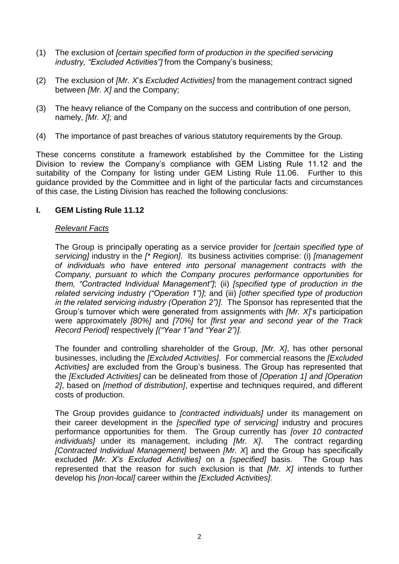- (1) The exclusion of *[certain specified form of production in the specified servicing industry, "Excluded Activities"]* from the Company's business;
- (2) The exclusion of *[Mr. X*'s *Excluded Activities]* from the management contract signed between *[Mr. X]* and the Company;
- (3) The heavy reliance of the Company on the success and contribution of one person, namely, *[Mr. X]*; and
- (4) The importance of past breaches of various statutory requirements by the Group.

These concerns constitute a framework established by the Committee for the Listing Division to review the Company's compliance with GEM Listing Rule 11.12 and the suitability of the Company for listing under GEM Listing Rule 11.06. Further to this guidance provided by the Committee and in light of the particular facts and circumstances of this case, the Listing Division has reached the following conclusions:

#### **I. GEM Listing Rule 11.12**

#### *Relevant Facts*

The Group is principally operating as a service provider for *[certain specified type of servicing]* industry in the *[\* Region]*. Its business activities comprise: (i) *[management of individuals who have entered into personal management contracts with the Company, pursuant to which the Company procures performance opportunities for them, "Contracted Individual Management"]*; (ii) *[specified type of production in the related servicing industry ("Operation 1")]*; and (iii) *[other specified type of production in the related servicing industry (Operation 2")]*. The Sponsor has represented that the Group's turnover which were generated from assignments with *[Mr. X]*'s participation were approximately *[80%]* and *[70%]* for *[first year and second year of the Track Record Period]* respectively *[("Year 1"and "Year 2")].*

The founder and controlling shareholder of the Group, *[Mr. X]*, has other personal businesses, including the *[Excluded Activities]*. For commercial reasons the *[Excluded Activities]* are excluded from the Group's business. The Group has represented that the *[Excluded Activities]* can be delineated from those of *[Operation 1] and [Operation 2]*, based on *[method of distribution]*, expertise and techniques required, and different costs of production.

The Group provides guidance to *[contracted individuals]* under its management on their career development in the *[specified type of servicing]* industry and procures performance opportunities for them. The Group currently has *[over 10 contracted individuals]* under its management, including *[Mr. X]*. The contract regarding *[Contracted Individual Management]* between *[Mr. X*] and the Group has specifically excluded *[Mr. X's Excluded Activities]* on a *[specified]* basis. The Group has represented that the reason for such exclusion is that *[Mr. X]* intends to further develop his *[non-local]* career within the *[Excluded Activities]*.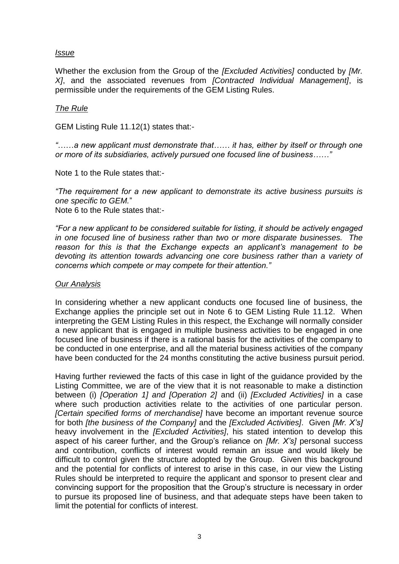#### *Issue*

Whether the exclusion from the Group of the *[Excluded Activities]* conducted by *[Mr. X]*, and the associated revenues from *[Contracted Individual Management]*, is permissible under the requirements of the GEM Listing Rules.

#### *The Rule*

GEM Listing Rule 11.12(1) states that:-

*"*……*a new applicant must demonstrate that…… it has, either by itself or through one or more of its subsidiaries, actively pursued one focused line of business……"*

Note 1 to the Rule states that:-

*"The requirement for a new applicant to demonstrate its active business pursuits is one specific to GEM.*"

Note 6 to the Rule states that:-

*"For a new applicant to be considered suitable for listing, it should be actively engaged in one focused line of business rather than two or more disparate businesses. The reason for this is that the Exchange expects an applicant's management to be devoting its attention towards advancing one core business rather than a variety of concerns which compete or may compete for their attention."*

#### *Our Analysis*

In considering whether a new applicant conducts one focused line of business, the Exchange applies the principle set out in Note 6 to GEM Listing Rule 11.12. When interpreting the GEM Listing Rules in this respect, the Exchange will normally consider a new applicant that is engaged in multiple business activities to be engaged in one focused line of business if there is a rational basis for the activities of the company to be conducted in one enterprise, and all the material business activities of the company have been conducted for the 24 months constituting the active business pursuit period.

Having further reviewed the facts of this case in light of the guidance provided by the Listing Committee, we are of the view that it is not reasonable to make a distinction between (i) *[Operation 1] and [Operation 2]* and (ii) *[Excluded Activities]* in a case where such production activities relate to the activities of one particular person. *[Certain specified forms of merchandise]* have become an important revenue source for both *[the business of the Company]* and the *[Excluded Activities]*. Given *[Mr. X's]*  heavy involvement in the *[Excluded Activities]*, his stated intention to develop this aspect of his career further, and the Group's reliance on *[Mr. X's]* personal success and contribution, conflicts of interest would remain an issue and would likely be difficult to control given the structure adopted by the Group. Given this background and the potential for conflicts of interest to arise in this case, in our view the Listing Rules should be interpreted to require the applicant and sponsor to present clear and convincing support for the proposition that the Group's structure is necessary in order to pursue its proposed line of business, and that adequate steps have been taken to limit the potential for conflicts of interest.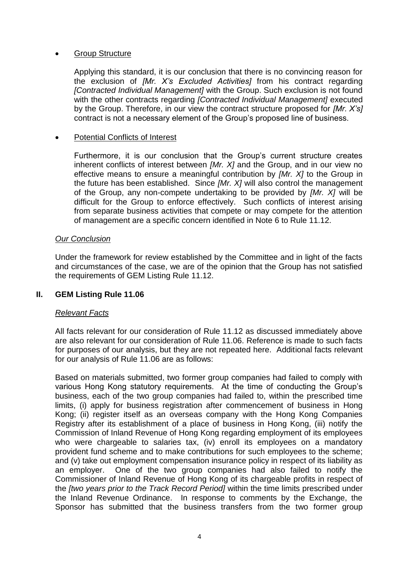#### Group Structure

Applying this standard, it is our conclusion that there is no convincing reason for the exclusion of *[Mr. X's Excluded Activities]* from his contract regarding *[Contracted Individual Management]* with the Group. Such exclusion is not found with the other contracts regarding *[Contracted Individual Management]* executed by the Group. Therefore, in our view the contract structure proposed for *[Mr. X's]*  contract is not a necessary element of the Group's proposed line of business.

### Potential Conflicts of Interest

Furthermore, it is our conclusion that the Group's current structure creates inherent conflicts of interest between *[Mr. X]* and the Group, and in our view no effective means to ensure a meaningful contribution by *[Mr. X]* to the Group in the future has been established. Since *[Mr. X]* will also control the management of the Group, any non-compete undertaking to be provided by *[Mr. X]* will be difficult for the Group to enforce effectively. Such conflicts of interest arising from separate business activities that compete or may compete for the attention of management are a specific concern identified in Note 6 to Rule 11.12.

#### *Our Conclusion*

Under the framework for review established by the Committee and in light of the facts and circumstances of the case, we are of the opinion that the Group has not satisfied the requirements of GEM Listing Rule 11.12.

### **II. GEM Listing Rule 11.06**

#### *Relevant Facts*

All facts relevant for our consideration of Rule 11.12 as discussed immediately above are also relevant for our consideration of Rule 11.06. Reference is made to such facts for purposes of our analysis, but they are not repeated here. Additional facts relevant for our analysis of Rule 11.06 are as follows:

Based on materials submitted, two former group companies had failed to comply with various Hong Kong statutory requirements. At the time of conducting the Group's business, each of the two group companies had failed to, within the prescribed time limits, (i) apply for business registration after commencement of business in Hong Kong; (ii) register itself as an overseas company with the Hong Kong Companies Registry after its establishment of a place of business in Hong Kong, (iii) notify the Commission of Inland Revenue of Hong Kong regarding employment of its employees who were chargeable to salaries tax, (iv) enroll its employees on a mandatory provident fund scheme and to make contributions for such employees to the scheme; and (v) take out employment compensation insurance policy in respect of its liability as an employer. One of the two group companies had also failed to notify the Commissioner of Inland Revenue of Hong Kong of its chargeable profits in respect of the *[two years prior to the Track Record Period]* within the time limits prescribed under the Inland Revenue Ordinance. In response to comments by the Exchange, the Sponsor has submitted that the business transfers from the two former group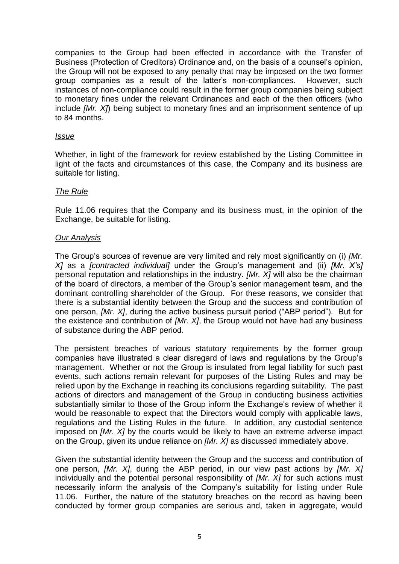companies to the Group had been effected in accordance with the Transfer of Business (Protection of Creditors) Ordinance and, on the basis of a counsel's opinion, the Group will not be exposed to any penalty that may be imposed on the two former group companies as a result of the latter's non-compliances. However, such instances of non-compliance could result in the former group companies being subject to monetary fines under the relevant Ordinances and each of the then officers (who include *[Mr. X]*) being subject to monetary fines and an imprisonment sentence of up to 84 months.

#### *Issue*

Whether, in light of the framework for review established by the Listing Committee in light of the facts and circumstances of this case, the Company and its business are suitable for listing.

#### *The Rule*

Rule 11.06 requires that the Company and its business must, in the opinion of the Exchange, be suitable for listing.

#### *Our Analysis*

The Group's sources of revenue are very limited and rely most significantly on (i) *[Mr. X]* as a *[contracted individual]* under the Group's management and (ii) *[Mr. X's]*  personal reputation and relationships in the industry. *[Mr. X]* will also be the chairman of the board of directors, a member of the Group's senior management team, and the dominant controlling shareholder of the Group. For these reasons, we consider that there is a substantial identity between the Group and the success and contribution of one person, *[Mr. X]*, during the active business pursuit period ("ABP period"). But for the existence and contribution of *[Mr. X]*, the Group would not have had any business of substance during the ABP period.

The persistent breaches of various statutory requirements by the former group companies have illustrated a clear disregard of laws and regulations by the Group's management. Whether or not the Group is insulated from legal liability for such past events, such actions remain relevant for purposes of the Listing Rules and may be relied upon by the Exchange in reaching its conclusions regarding suitability. The past actions of directors and management of the Group in conducting business activities substantially similar to those of the Group inform the Exchange's review of whether it would be reasonable to expect that the Directors would comply with applicable laws, regulations and the Listing Rules in the future. In addition, any custodial sentence imposed on *[Mr. X]* by the courts would be likely to have an extreme adverse impact on the Group, given its undue reliance on *[Mr. X]* as discussed immediately above.

Given the substantial identity between the Group and the success and contribution of one person, *[Mr. X]*, during the ABP period, in our view past actions by *[Mr. X]*  individually and the potential personal responsibility of *[Mr. X]* for such actions must necessarily inform the analysis of the Company's suitability for listing under Rule 11.06. Further, the nature of the statutory breaches on the record as having been conducted by former group companies are serious and, taken in aggregate, would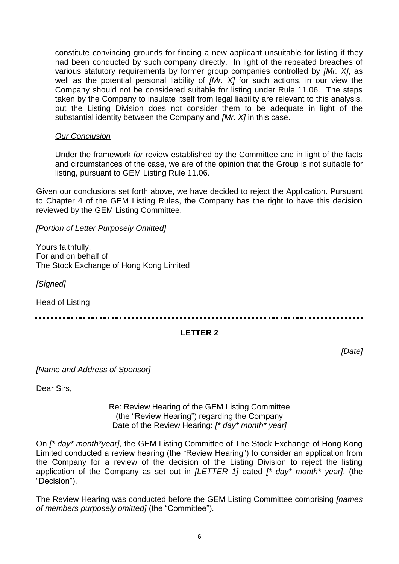constitute convincing grounds for finding a new applicant unsuitable for listing if they had been conducted by such company directly. In light of the repeated breaches of various statutory requirements by former group companies controlled by *[Mr. X]*, as well as the potential personal liability of *[Mr. X]* for such actions, in our view the Company should not be considered suitable for listing under Rule 11.06. The steps taken by the Company to insulate itself from legal liability are relevant to this analysis, but the Listing Division does not consider them to be adequate in light of the substantial identity between the Company and *[Mr. X]* in this case.

#### *Our Conclusion*

Under the framework *for* review established by the Committee and in light of the facts and circumstances of the case, we are of the opinion that the Group is not suitable for listing, pursuant to GEM Listing Rule 11.06.

Given our conclusions set forth above, we have decided to reject the Application. Pursuant to Chapter 4 of the GEM Listing Rules, the Company has the right to have this decision reviewed by the GEM Listing Committee.

*[Portion of Letter Purposely Omitted]* 

Yours faithfully, For and on behalf of The Stock Exchange of Hong Kong Limited

*[Signed]* 

Head of Listing

### **LETTER 2**

*[Date]*

*[Name and Address of Sponsor]* 

Dear Sirs,

#### Re: Review Hearing of the GEM Listing Committee (the "Review Hearing") regarding the Company Date of the Review Hearing: *[\* day\* month\* year]*

On *[\* day\* month\*year]*, the GEM Listing Committee of The Stock Exchange of Hong Kong Limited conducted a review hearing (the "Review Hearing") to consider an application from the Company for a review of the decision of the Listing Division to reject the listing application of the Company as set out in *[LETTER 1]* dated *[\* day\* month\* year]*, (the "Decision").

The Review Hearing was conducted before the GEM Listing Committee comprising *[names of members purposely omitted]* (the "Committee").